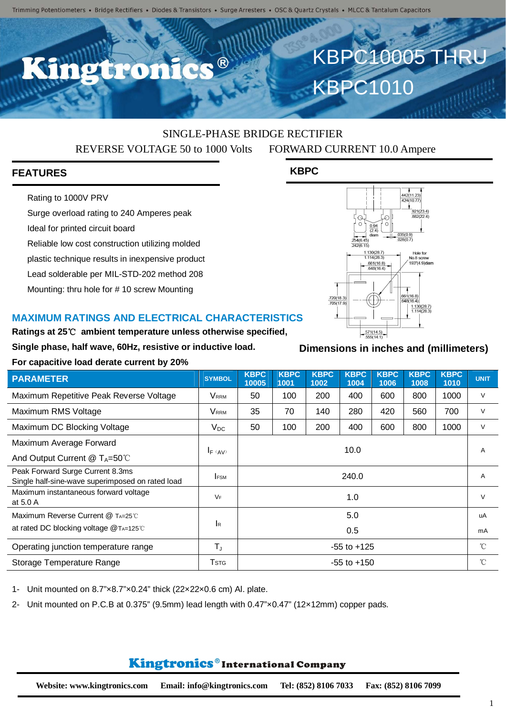C.C. ®

# SINGLE-PHASE BRIDGE RECTIFIER REVERSE VOLTAGE 50 to 1000 Volts FORWARD CURRENT 10.0 Ampere

**KBPC**

# **FEATURES**

Rating to 1000V PRV

Surge overload rating to 240 Amperes peak

Ideal for printed circuit board

Reliable low cost construction utilizing molded

plastic technique results in inexpensive product

Lead solderable per MIL-STD-202 method 208

Mounting: thru hole for # 10 screw Mounting

#### **MAXIMUM RATINGS AND ELECTRICAL CHARACTERISTICS**

**Ratings at 25**℃ **ambient temperature unless otherwise specified,**

**Single phase, half wave, 60Hz, resistive or inductive load.**

#### **For capacitive load derate current by 20%**

| <b>PARAMETER</b>                                                                     | <b>SYMBOL</b>           | <b>KBPC</b><br>10005 | <b>KBPC</b><br>1001 | <b>KBPC</b><br>1002 | <b>KBPC</b><br>1004 | <b>KBPC</b><br>1006 | <b>KBPC</b><br>1008 | <b>KBPC</b><br>1010 | <b>UNIT</b> |
|--------------------------------------------------------------------------------------|-------------------------|----------------------|---------------------|---------------------|---------------------|---------------------|---------------------|---------------------|-------------|
| Maximum Repetitive Peak Reverse Voltage                                              | Vrrm                    | 50                   | 100                 | 200                 | 400                 | 600                 | 800                 | 1000                | $\vee$      |
| Maximum RMS Voltage                                                                  | Vrrm                    | 35                   | 70                  | 140                 | 280                 | 420                 | 560                 | 700                 | $\vee$      |
| Maximum DC Blocking Voltage                                                          | $V_{DC}$                | 50                   | 100                 | 200                 | 400                 | 600                 | 800                 | 1000                | V           |
| Maximum Average Forward                                                              |                         | 10.0                 |                     |                     |                     |                     |                     |                     | A           |
| And Output Current $@T_A=50^{\circ}$ C                                               | $I_F$ (AV)              |                      |                     |                     |                     |                     |                     |                     |             |
| Peak Forward Surge Current 8.3ms<br>Single half-sine-wave superimposed on rated load | <b>FSM</b>              | 240.0                |                     |                     |                     |                     |                     |                     | A           |
| Maximum instantaneous forward voltage<br>at 5.0 A                                    | $V_F$                   | 1.0                  |                     |                     |                     |                     |                     |                     | $\vee$      |
| Maximum Reverse Current @ TA=25°C                                                    | <b>I</b> R              | 5.0                  |                     |                     |                     |                     |                     |                     | uA          |
| at rated DC blocking voltage $@$ TA=125°C                                            |                         | 0.5                  |                     |                     |                     |                     |                     |                     | mA          |
| Operating junction temperature range                                                 | $T_{J}$                 | $-55$ to $+125$      |                     |                     |                     |                     |                     |                     | $^{\circ}C$ |
| Storage Temperature Range                                                            | <b>T</b> <sub>STG</sub> | $-55$ to $+150$      |                     |                     |                     |                     |                     |                     | $^{\circ}C$ |

1- Unit mounted on 8.7"×8.7"×0.24" thick (22×22×0.6 cm) Al. plate.

2- Unit mounted on P.C.B at 0.375" (9.5mm) lead length with 0.47"×0.47" (12×12mm) copper pads.

# Kingtronics®International Company

# $\frac{(921(23.4)}{882(22.4)}$ 035(0.9 Hole for l.130(28.7)<br>l.114(28.3) No.8 screw<br>193"(4.9)diam  $\frac{661(16.8)}{648(16.4)}$  $\frac{661(16.8)}{648(16.4)}$ .720(18.3)<br>705(17.9)  $\frac{1.130(28.7)}{1.114(28.3)}$

 $\frac{.571(14.5)}{555(14.1)}$ 

KBPC10005 THRU

442(11.23)<br>424(10.77)

KBPC1010

## **Dimensions in inches and (millimeters)**